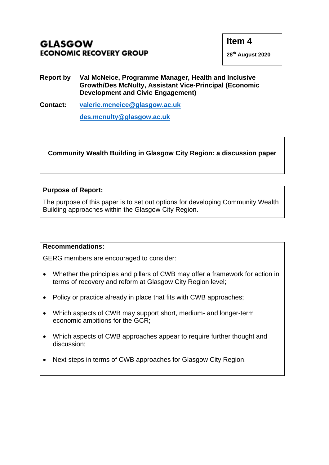- **Report by Val McNeice, Programme Manager, Health and Inclusive Growth/Des McNulty, Assistant Vice-Principal (Economic Development and Civic Engagement)**
- **Contact: [valerie.mcneice@glasgow.ac.uk](mailto:valerie.mcneice@glasgow.ac.uk) [des.mcnulty@glasgow.ac.uk](mailto:des.mcnulty@glasgow.ac.uk)**

**Community Wealth Building in Glasgow City Region: a discussion paper**

#### **Purpose of Report:**

The purpose of this paper is to set out options for developing Community Wealth Building approaches within the Glasgow City Region.

#### **Recommendations:**

GERG members are encouraged to consider:

- Whether the principles and pillars of CWB may offer a framework for action in terms of recovery and reform at Glasgow City Region level;
- Policy or practice already in place that fits with CWB approaches;
- Which aspects of CWB may support short, medium- and longer-term economic ambitions for the GCR;
- Which aspects of CWB approaches appear to require further thought and discussion;
- Next steps in terms of CWB approaches for Glasgow City Region.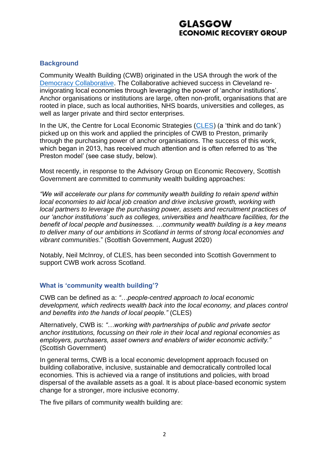#### **Background**

Community Wealth Building (CWB) originated in the USA through the work of the [Democracy Collaborative.](https://democracycollaborative.org/content/our-history) The Collaborative achieved success in Cleveland reinvigorating local economies through leveraging the power of 'anchor institutions'. Anchor organisations or institutions are large, often non-profit, organisations that are rooted in place, such as local authorities, NHS boards, universities and colleges, as well as larger private and third sector enterprises.

In the UK, the Centre for Local Economic Strategies [\(CLES\)](https://cles.org.uk/) (a 'think and do tank') picked up on this work and applied the principles of CWB to Preston, primarily through the purchasing power of anchor organisations. The success of this work, which began in 2013, has received much attention and is often referred to as 'the Preston model' (see case study, below).

Most recently, in response to the Advisory Group on Economic Recovery, Scottish Government are committed to community wealth building approaches:

*"We will accelerate our plans for community wealth building to retain spend within local economies to aid local job creation and drive inclusive growth, working with local partners to leverage the purchasing power, assets and recruitment practices of our 'anchor institutions' such as colleges, universities and healthcare facilities, for the benefit of local people and businesses. …community wealth building is a key means to deliver many of our ambitions in Scotland in terms of strong local economies and vibrant communities*." (Scottish Government, August 2020)

Notably, Neil McInroy, of CLES, has been seconded into Scottish Government to support CWB work across Scotland.

#### **What is 'community wealth building'?**

CWB can be defined as a: *"…people-centred approach to local economic development, which redirects wealth back into the local economy, and places control and benefits into the hands of local people."* (CLES)

Alternatively, CWB is: *"…working with partnerships of public and private sector anchor institutions, focussing on their role in their local and regional economies as employers, purchasers, asset owners and enablers of wider economic activity."* (Scottish Government)

In general terms, CWB is a local economic development approach focused on building collaborative, inclusive, sustainable and democratically controlled local economies. This is achieved via a range of institutions and policies, with broad dispersal of the available assets as a goal. It is about place-based economic system change for a stronger, more inclusive economy.

The five pillars of community wealth building are: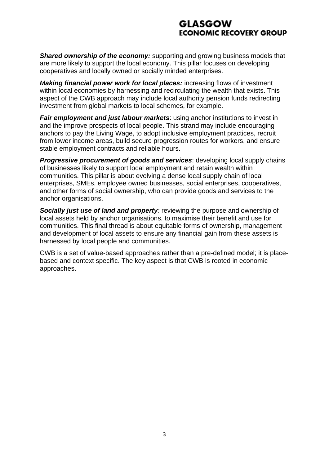**Shared ownership of the economy:** supporting and growing business models that are more likely to support the local economy. This pillar focuses on developing cooperatives and locally owned or socially minded enterprises.

*Making financial power work for local places:* increasing flows of investment within local economies by harnessing and recirculating the wealth that exists. This aspect of the CWB approach may include local authority pension funds redirecting investment from global markets to local schemes, for example.

*Fair employment and just labour markets*: using anchor institutions to invest in and the improve prospects of local people. This strand may include encouraging anchors to pay the Living Wage, to adopt inclusive employment practices, recruit from lower income areas, build secure progression routes for workers, and ensure stable employment contracts and reliable hours.

*Progressive procurement of goods and services*: developing local supply chains of businesses likely to support local employment and retain wealth within communities. This pillar is about evolving a dense local supply chain of local enterprises, SMEs, employee owned businesses, social enterprises, cooperatives, and other forms of social ownership, who can provide goods and services to the anchor organisations.

**Socially just use of land and property**: reviewing the purpose and ownership of local assets held by anchor organisations, to maximise their benefit and use for communities. This final thread is about equitable forms of ownership, management and development of local assets to ensure any financial gain from these assets is harnessed by local people and communities.

CWB is a set of value-based approaches rather than a pre-defined model; it is placebased and context specific. The key aspect is that CWB is rooted in economic approaches.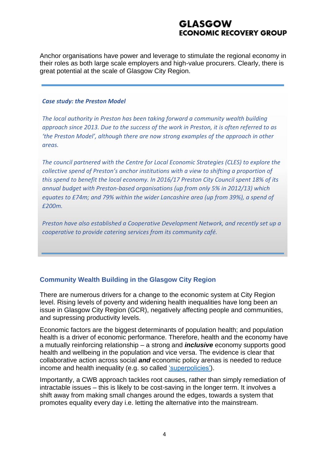Anchor organisations have power and leverage to stimulate the regional economy in their roles as both large scale employers and high-value procurers. Clearly, there is great potential at the scale of Glasgow City Region.

#### *Case study: the Preston Model*

*The local authority in Preston has been taking forward a community wealth building approach since 2013. Due to the success of the work in Preston, it is often referred to as 'the Preston Model', although there are now strong examples of the approach in other areas.*

*The council partnered with the Centre for Local Economic Strategies (CLES) to explore the collective spend of Preston's anchor institutions with a view to shifting a proportion of this spend to benefit the local economy. In 2016/17 Preston City Council spent 18% of its annual budget with Preston-based organisations (up from only 5% in 2012/13) which equates to £74m; and 79% within the wider Lancashire area (up from 39%), a spend of £200m.* 

*Preston have also established a Cooperative Development Network, and recently set up a cooperative to provide catering services from its community café.* 

### **Community Wealth Building in the Glasgow City Region**

There are numerous drivers for a change to the economic system at City Region level. Rising levels of poverty and widening health inequalities have long been an issue in Glasgow City Region (GCR), negatively affecting people and communities, and supressing productivity levels.

Economic factors are the biggest determinants of population health; and population health is a driver of economic performance. Therefore, health and the economy have a mutually reinforcing relationship – a strong and *inclusive* economy supports good health and wellbeing in the population and vice versa. The evidence is clear that collaborative action across social *and* economic policy arenas is needed to reduce income and health inequality (e.g. so called ['superpolicies'\)](https://www.sciencedirect.com/science/article/pii/S2666535220300021).

Importantly, a CWB approach tackles root causes, rather than simply remediation of intractable issues – this is likely to be cost-saving in the longer term. It involves a shift away from making small changes around the edges, towards a system that promotes equality every day i.e. letting the alternative into the mainstream.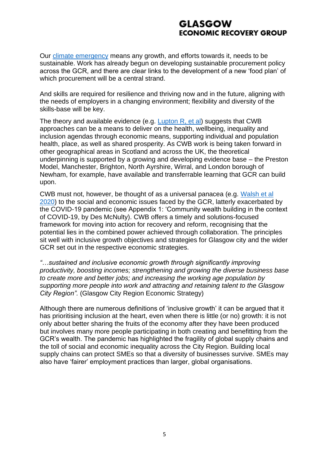Our [climate emergency](https://www.thinkdifferentevents.co.uk/assets/uploads/Sustainable%20Glasgow%20Partnership/GCC_Doc3_7feb.pdf) means any growth, and efforts towards it, needs to be sustainable. Work has already begun on developing sustainable procurement policy across the GCR, and there are clear links to the development of a new 'food plan' of which procurement will be a central strand.

And skills are required for resilience and thriving now and in the future, aligning with the needs of employers in a changing environment; flexibility and diversity of the skills-base will be key.

The theory and available evidence (e.g. [Lupton R, et al\)](https://policyatmanchester.shorthandstories.com/inclusive-growth-GM-2020/) suggests that CWB approaches can be a means to deliver on the health, wellbeing, inequality and inclusion agendas through economic means, supporting individual and population health, place, as well as shared prosperity. As CWB work is being taken forward in other geographical areas in Scotland and across the UK, the theoretical underpinning is supported by a growing and developing evidence base – the Preston Model, Manchester, Brighton, North Ayrshire, Wirral, and London borough of Newham, for example, have available and transferrable learning that GCR can build upon.

CWB must not, however, be thought of as a universal panacea (e.g. [Walsh et al](https://www.gcph.co.uk/publications/944_policy_recommendations_for_population_health_progress_and_challenges)  [2020\)](https://www.gcph.co.uk/publications/944_policy_recommendations_for_population_health_progress_and_challenges) to the social and economic issues faced by the GCR, latterly exacerbated by the COVID-19 pandemic (see Appendix 1: 'Community wealth building in the context of COVID-19, by Des McNulty). CWB offers a timely and solutions-focused framework for moving into action for recovery and reform, recognising that the potential lies in the combined power achieved through collaboration. The principles sit well with inclusive growth objectives and strategies for Glasgow city and the wider GCR set out in the respective economic strategies.

*"…sustained and inclusive economic growth through significantly improving productivity, boosting incomes; strengthening and growing the diverse business base to create more and better jobs; and increasing the working age population by supporting more people into work and attracting and retaining talent to the Glasgow City Region".* (Glasgow City Region Economic Strategy)

Although there are numerous definitions of 'inclusive growth' it can be argued that it has prioritising inclusion at the heart, even when there is little (or no) growth: it is not only about better sharing the fruits of the economy after they have been produced but involves many more people participating in both creating and benefitting from the GCR's wealth. The pandemic has highlighted the fragility of global supply chains and the toll of social and economic inequality across the City Region. Building local supply chains can protect SMEs so that a diversity of businesses survive. SMEs may also have 'fairer' employment practices than larger, global organisations.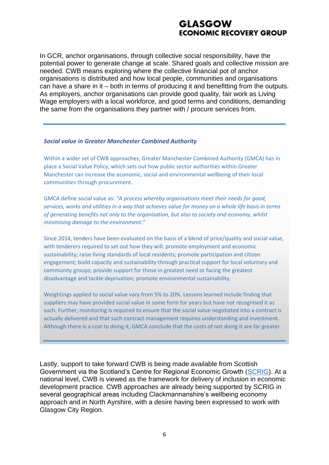In GCR, anchor organisations, through collective social responsibility, have the potential power to generate change at scale. Shared goals and collective mission are needed. CWB means exploring where the collective financial pot of anchor organisations is distributed and how local people, communities and organisations can have a share in it – both in terms of producing it and benefitting from the outputs. As employers, anchor organisations can provide good quality, fair work as Living Wage employers with a local workforce, and good terms and conditions, demanding the same from the organisations they partner with / procure services from.

#### *Social value in Greater Manchester Combined Authority*

Within a wider set of CWB approaches, Greater Manchester Combined Authority (GMCA) has in place a Social Value Policy, which sets out how public sector authorities within Greater Manchester can increase the economic, social and environmental wellbeing of their local communities through procurement.

GMCA define social value as: *"A process whereby organisations meet their needs for good, services, works and utilities in a way that achieves value for money on a whole life basis in terms of generating benefits not only to the organisation, but also to society and economy, whilst minimising damage to the environment."*

Since 2014, tenders have been evaluated on the basis of a blend of price/quality and social value, with tenderers required to set out how they will: promote employment and economic sustainability; raise living standards of local residents; promote participation and citizen engagement; build capacity and sustainability through practical support for local voluntary and community groups; provide support for those in greatest need or facing the greatest disadvantage and tackle deprivation; promote environmental sustainability.

Weightings applied to social value vary from 5% to 20%. Lessons learned include finding that suppliers may have provided social value in some form for years but have not recognised it as such. Further, monitoring is required to ensure that the social value negotiated into a contract is actually delivered and that such contract management requires understanding and investment. Although there is a cost to doing it, GMCA conclude that the costs of not doing it are far greater.

Lastly, support to take forward CWB is being made available from Scottish Government via the Scotland's Centre for Regional Economic Growth [\(SCRIG\)](https://www.inclusivegrowth.scot/). At a national level, CWB is viewed as the framework for delivery of inclusion in economic development practice. CWB approaches are already being supported by SCRIG in several geographical areas including Clackmannanshire's wellbeing economy approach and in North Ayrshire, with a desire having been expressed to work with Glasgow City Region.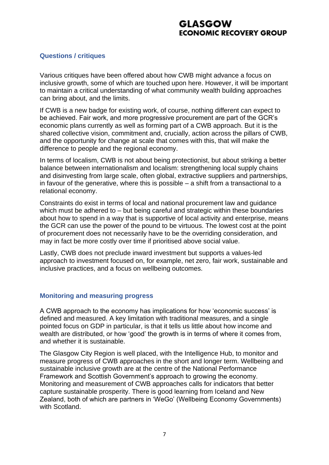#### **Questions / critiques**

Various critiques have been offered about how CWB might advance a focus on inclusive growth, some of which are touched upon here. However, it will be important to maintain a critical understanding of what community wealth building approaches can bring about, and the limits.

If CWB is a new badge for existing work, of course, nothing different can expect to be achieved. Fair work, and more progressive procurement are part of the GCR's economic plans currently as well as forming part of a CWB approach. But it is the shared collective vision, commitment and, crucially, action across the pillars of CWB, and the opportunity for change at scale that comes with this, that will make the difference to people and the regional economy.

In terms of localism, CWB is not about being protectionist, but about striking a better balance between internationalism and localism: strengthening local supply chains and disinvesting from large scale, often global, extractive suppliers and partnerships, in favour of the generative, where this is possible  $-$  a shift from a transactional to a relational economy.

Constraints do exist in terms of local and national procurement law and guidance which must be adhered to – but being careful and strategic within these boundaries about how to spend in a way that is supportive of local activity and enterprise, means the GCR can use the power of the pound to be virtuous. The lowest cost at the point of procurement does not necessarily have to be the overriding consideration, and may in fact be more costly over time if prioritised above social value.

Lastly, CWB does not preclude inward investment but supports a values-led approach to investment focused on, for example, net zero, fair work, sustainable and inclusive practices, and a focus on wellbeing outcomes.

#### **Monitoring and measuring progress**

A CWB approach to the economy has implications for how 'economic success' is defined and measured. A key limitation with traditional measures, and a single pointed focus on GDP in particular, is that it tells us little about how income and wealth are distributed, or how 'good' the growth is in terms of where it comes from, and whether it is sustainable.

The Glasgow City Region is well placed, with the Intelligence Hub, to monitor and measure progress of CWB approaches in the short and longer term. Wellbeing and sustainable inclusive growth are at the centre of the National Performance Framework and Scottish Government's approach to growing the economy. Monitoring and measurement of CWB approaches calls for indicators that better capture sustainable prosperity. There is good learning from Iceland and New Zealand, both of which are partners in 'WeGo' (Wellbeing Economy Governments) with Scotland.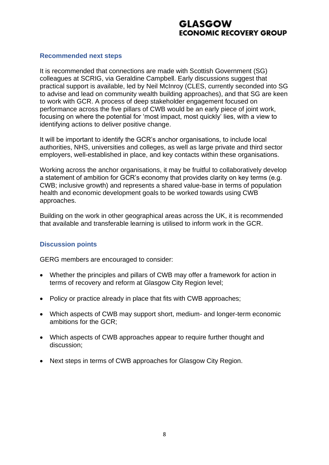#### **Recommended next steps**

It is recommended that connections are made with Scottish Government (SG) colleagues at SCRIG, via Geraldine Campbell. Early discussions suggest that practical support is available, led by Neil McInroy (CLES, currently seconded into SG to advise and lead on community wealth building approaches), and that SG are keen to work with GCR. A process of deep stakeholder engagement focused on performance across the five pillars of CWB would be an early piece of joint work, focusing on where the potential for 'most impact, most quickly' lies, with a view to identifying actions to deliver positive change.

It will be important to identify the GCR's anchor organisations, to include local authorities, NHS, universities and colleges, as well as large private and third sector employers, well-established in place, and key contacts within these organisations.

Working across the anchor organisations, it may be fruitful to collaboratively develop a statement of ambition for GCR's economy that provides clarity on key terms (e.g. CWB; inclusive growth) and represents a shared value-base in terms of population health and economic development goals to be worked towards using CWB approaches.

Building on the work in other geographical areas across the UK, it is recommended that available and transferable learning is utilised to inform work in the GCR.

#### **Discussion points**

GERG members are encouraged to consider:

- Whether the principles and pillars of CWB may offer a framework for action in terms of recovery and reform at Glasgow City Region level;
- Policy or practice already in place that fits with CWB approaches;
- Which aspects of CWB may support short, medium- and longer-term economic ambitions for the GCR;
- Which aspects of CWB approaches appear to require further thought and discussion;
- Next steps in terms of CWB approaches for Glasgow City Region.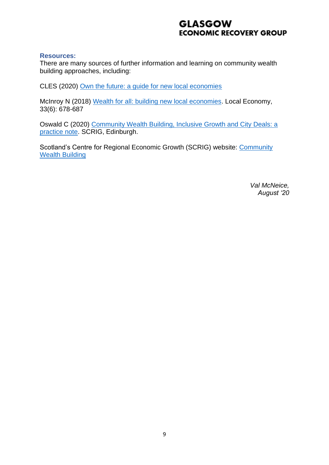#### **Resources:**

There are many sources of further information and learning on community wealth building approaches, including:

CLES (2020) [Own the future: a guide for new local economies](https://cles.org.uk/publications/recovery-reform/)

McInroy N (2018) [Wealth for all: building new local economies.](https://journals.sagepub.com/doi/abs/10.1177/0269094218803084) Local Economy, 33(6): 678-687

Oswald C (2020) [Community Wealth Building, Inclusive Growth and City Deals: a](https://www.inclusivegrowth.scot/wp-content/uploads/2020/08/Community-Wealth-Building-Inclusive-Growth-City-Region-Deals-.pdf)  [practice note.](https://www.inclusivegrowth.scot/wp-content/uploads/2020/08/Community-Wealth-Building-Inclusive-Growth-City-Region-Deals-.pdf) SCRIG, Edinburgh.

Scotland's Centre for Regional Economic Growth (SCRIG) website: Community [Wealth Building](https://www.inclusivegrowth.scot/our-work/community-wealth-building/2019/11/community-wealth-building/)

> *Val McNeice, August '20*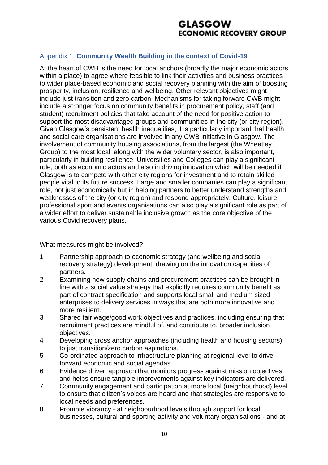### Appendix 1: **Community Wealth Building in the context of Covid-19**

At the heart of CWB is the need for local anchors (broadly the major economic actors within a place) to agree where feasible to link their activities and business practices to wider place-based economic and social recovery planning with the aim of boosting prosperity, inclusion, resilience and wellbeing. Other relevant objectives might include just transition and zero carbon. Mechanisms for taking forward CWB might include a stronger focus on community benefits in procurement policy, staff (and student) recruitment policies that take account of the need for positive action to support the most disadvantaged groups and communities in the city (or city region). Given Glasgow's persistent health inequalities, it is particularly important that health and social care organisations are involved in any CWB initiative in Glasgow. The involvement of community housing associations, from the largest (the Wheatley Group) to the most local, along with the wider voluntary sector, is also important, particularly in building resilience. Universities and Colleges can play a significant role, both as economic actors and also in driving innovation which will be needed if Glasgow is to compete with other city regions for investment and to retain skilled people vital to its future success. Large and smaller companies can play a significant role, not just economically but in helping partners to better understand strengths and weaknesses of the city (or city region) and respond appropriately. Culture, leisure, professional sport and events organisations can also play a significant role as part of a wider effort to deliver sustainable inclusive growth as the core objective of the various Covid recovery plans.

### What measures might be involved?

- 1 Partnership approach to economic strategy (and wellbeing and social recovery strategy) development, drawing on the innovation capacities of partners.
- 2 Examining how supply chains and procurement practices can be brought in line with a social value strategy that explicitly requires community benefit as part of contract specification and supports local small and medium sized enterprises to delivery services in ways that are both more innovative and more resilient.
- 3 Shared fair wage/good work objectives and practices, including ensuring that recruitment practices are mindful of, and contribute to, broader inclusion objectives.
- 4 Developing cross anchor approaches (including health and housing sectors) to just transition/zero carbon aspirations.
- 5 Co-ordinated approach to infrastructure planning at regional level to drive forward economic and social agendas.
- 6 Evidence driven approach that monitors progress against mission objectives and helps ensure tangible improvements against key indicators are delivered.
- 7 Community engagement and participation at more local (neighbourhood) level to ensure that citizen's voices are heard and that strategies are responsive to local needs and preferences.
- 8 Promote vibrancy at neighbourhood levels through support for local businesses, cultural and sporting activity and voluntary organisations - and at